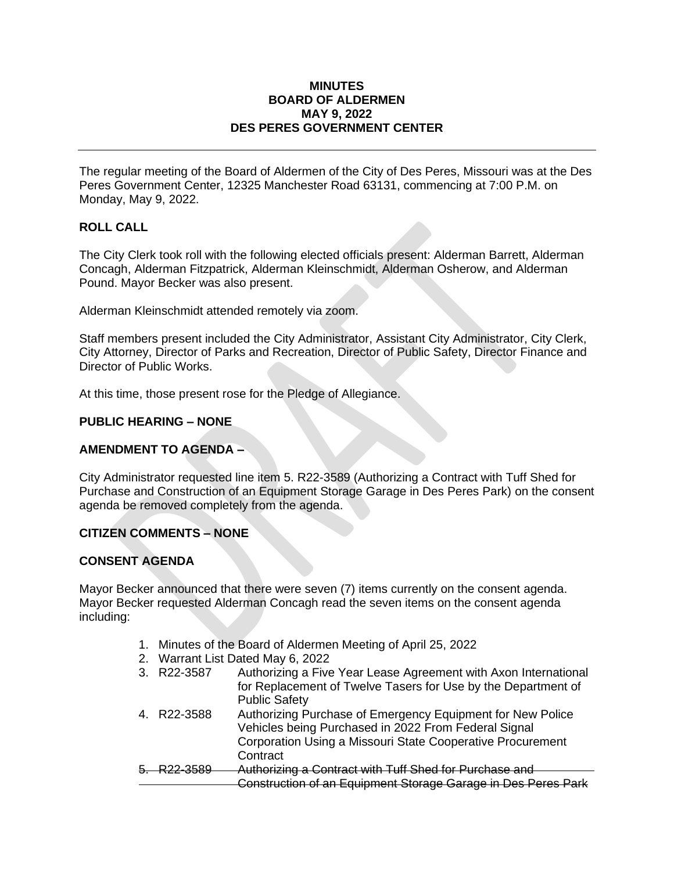### **MINUTES BOARD OF ALDERMEN MAY 9, 2022 DES PERES GOVERNMENT CENTER**

The regular meeting of the Board of Aldermen of the City of Des Peres, Missouri was at the Des Peres Government Center, 12325 Manchester Road 63131, commencing at 7:00 P.M. on Monday, May 9, 2022.

# **ROLL CALL**

The City Clerk took roll with the following elected officials present: Alderman Barrett, Alderman Concagh, Alderman Fitzpatrick, Alderman Kleinschmidt, Alderman Osherow, and Alderman Pound. Mayor Becker was also present.

Alderman Kleinschmidt attended remotely via zoom.

Staff members present included the City Administrator, Assistant City Administrator, City Clerk, City Attorney, Director of Parks and Recreation, Director of Public Safety, Director Finance and Director of Public Works.

At this time, those present rose for the Pledge of Allegiance.

## **PUBLIC HEARING – NONE**

# **AMENDMENT TO AGENDA –**

City Administrator requested line item 5. R22-3589 (Authorizing a Contract with Tuff Shed for Purchase and Construction of an Equipment Storage Garage in Des Peres Park) on the consent agenda be removed completely from the agenda.

# **CITIZEN COMMENTS – NONE**

### **CONSENT AGENDA**

Mayor Becker announced that there were seven (7) items currently on the consent agenda. Mayor Becker requested Alderman Concagh read the seven items on the consent agenda including:

- 1. Minutes of the Board of Aldermen Meeting of April 25, 2022
- 2. Warrant List Dated May 6, 2022
- 3. R22-3587 Authorizing a Five Year Lease Agreement with Axon International for Replacement of Twelve Tasers for Use by the Department of Public Safety
- 4. R22-3588 Authorizing Purchase of Emergency Equipment for New Police Vehicles being Purchased in 2022 From Federal Signal Corporation Using a Missouri State Cooperative Procurement **Contract**
- 5. R22-3589 Authorizing a Contract with Tuff Shed for Purchase and Construction of an Equipment Storage Garage in Des Peres Park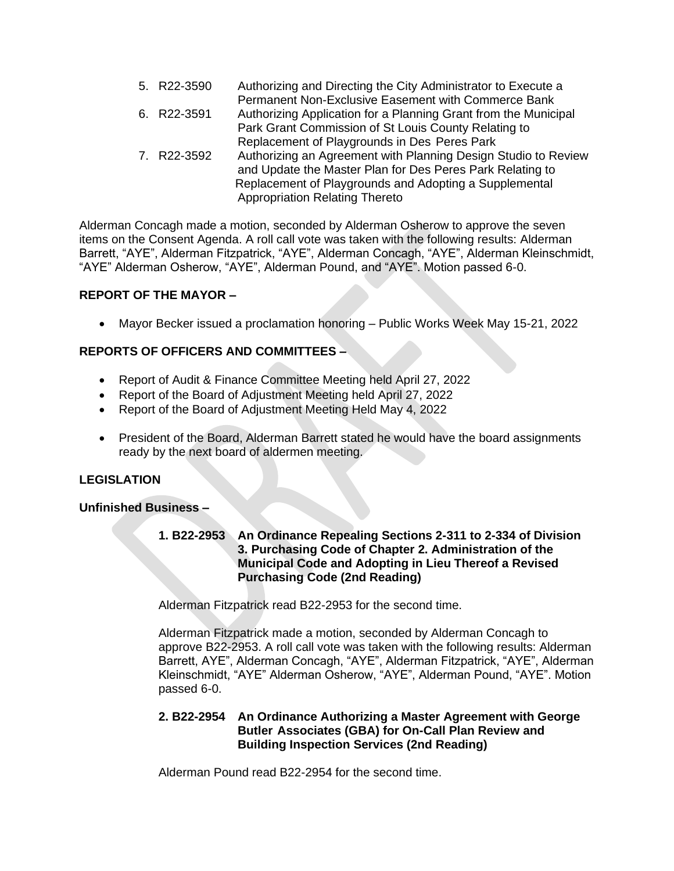| 5. R22-3590 | Authorizing and Directing the City Administrator to Execute a   |
|-------------|-----------------------------------------------------------------|
|             | Permanent Non-Exclusive Easement with Commerce Bank             |
| 6. R22-3591 | Authorizing Application for a Planning Grant from the Municipal |
|             | Park Grant Commission of St Louis County Relating to            |
|             | Replacement of Playgrounds in Des Peres Park                    |
| 7. R22-3592 | Authorizing an Agreement with Planning Design Studio to Review  |
|             | and Update the Master Plan for Des Peres Park Relating to       |
|             | Replacement of Playgrounds and Adopting a Supplemental          |
|             | <b>Appropriation Relating Thereto</b>                           |

Alderman Concagh made a motion, seconded by Alderman Osherow to approve the seven items on the Consent Agenda. A roll call vote was taken with the following results: Alderman Barrett, "AYE", Alderman Fitzpatrick, "AYE", Alderman Concagh, "AYE", Alderman Kleinschmidt, "AYE" Alderman Osherow, "AYE", Alderman Pound, and "AYE". Motion passed 6-0.

# **REPORT OF THE MAYOR –**

• Mayor Becker issued a proclamation honoring – Public Works Week May 15-21, 2022

# **REPORTS OF OFFICERS AND COMMITTEES –**

- Report of Audit & Finance Committee Meeting held April 27, 2022
- Report of the Board of Adjustment Meeting held April 27, 2022
- Report of the Board of Adjustment Meeting Held May 4, 2022
- President of the Board, Alderman Barrett stated he would have the board assignments ready by the next board of aldermen meeting.

# **LEGISLATION**

### **Unfinished Business –**

## **1. B22-2953 An Ordinance Repealing Sections 2-311 to 2-334 of Division 3. Purchasing Code of Chapter 2. Administration of the Municipal Code and Adopting in Lieu Thereof a Revised Purchasing Code (2nd Reading)**

Alderman Fitzpatrick read B22-2953 for the second time.

Alderman Fitzpatrick made a motion, seconded by Alderman Concagh to approve B22-2953. A roll call vote was taken with the following results: Alderman Barrett, AYE", Alderman Concagh, "AYE", Alderman Fitzpatrick, "AYE", Alderman Kleinschmidt, "AYE" Alderman Osherow, "AYE", Alderman Pound, "AYE". Motion passed 6-0.

### **2. B22-2954 An Ordinance Authorizing a Master Agreement with George Butler Associates (GBA) for On-Call Plan Review and Building Inspection Services (2nd Reading)**

Alderman Pound read B22-2954 for the second time.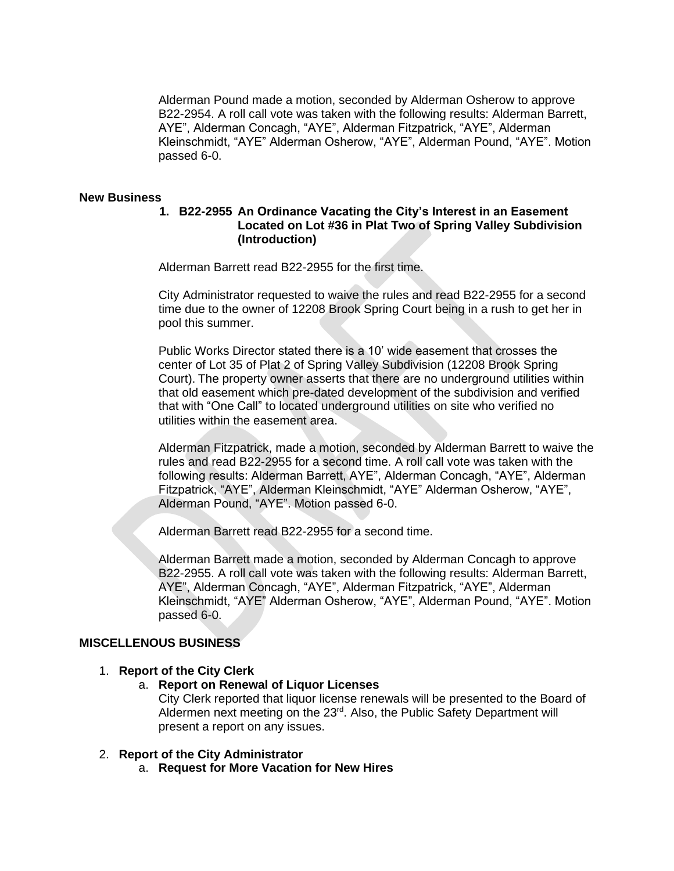Alderman Pound made a motion, seconded by Alderman Osherow to approve B22-2954. A roll call vote was taken with the following results: Alderman Barrett, AYE", Alderman Concagh, "AYE", Alderman Fitzpatrick, "AYE", Alderman Kleinschmidt, "AYE" Alderman Osherow, "AYE", Alderman Pound, "AYE". Motion passed 6-0.

#### **New Business**

### **1. B22-2955 An Ordinance Vacating the City's Interest in an Easement Located on Lot #36 in Plat Two of Spring Valley Subdivision (Introduction)**

Alderman Barrett read B22-2955 for the first time.

City Administrator requested to waive the rules and read B22-2955 for a second time due to the owner of 12208 Brook Spring Court being in a rush to get her in pool this summer.

Public Works Director stated there is a 10' wide easement that crosses the center of Lot 35 of Plat 2 of Spring Valley Subdivision (12208 Brook Spring Court). The property owner asserts that there are no underground utilities within that old easement which pre-dated development of the subdivision and verified that with "One Call" to located underground utilities on site who verified no utilities within the easement area.

Alderman Fitzpatrick, made a motion, seconded by Alderman Barrett to waive the rules and read B22-2955 for a second time. A roll call vote was taken with the following results: Alderman Barrett, AYE", Alderman Concagh, "AYE", Alderman Fitzpatrick, "AYE", Alderman Kleinschmidt, "AYE" Alderman Osherow, "AYE", Alderman Pound, "AYE". Motion passed 6-0.

Alderman Barrett read B22-2955 for a second time.

Alderman Barrett made a motion, seconded by Alderman Concagh to approve B22-2955. A roll call vote was taken with the following results: Alderman Barrett, AYE", Alderman Concagh, "AYE", Alderman Fitzpatrick, "AYE", Alderman Kleinschmidt, "AYE" Alderman Osherow, "AYE", Alderman Pound, "AYE". Motion passed 6-0.

### **MISCELLENOUS BUSINESS**

### 1. **Report of the City Clerk**

### a. **Report on Renewal of Liquor Licenses**

City Clerk reported that liquor license renewals will be presented to the Board of Aldermen next meeting on the 23<sup>rd</sup>. Also, the Public Safety Department will present a report on any issues.

## 2. **Report of the City Administrator**

a. **Request for More Vacation for New Hires**